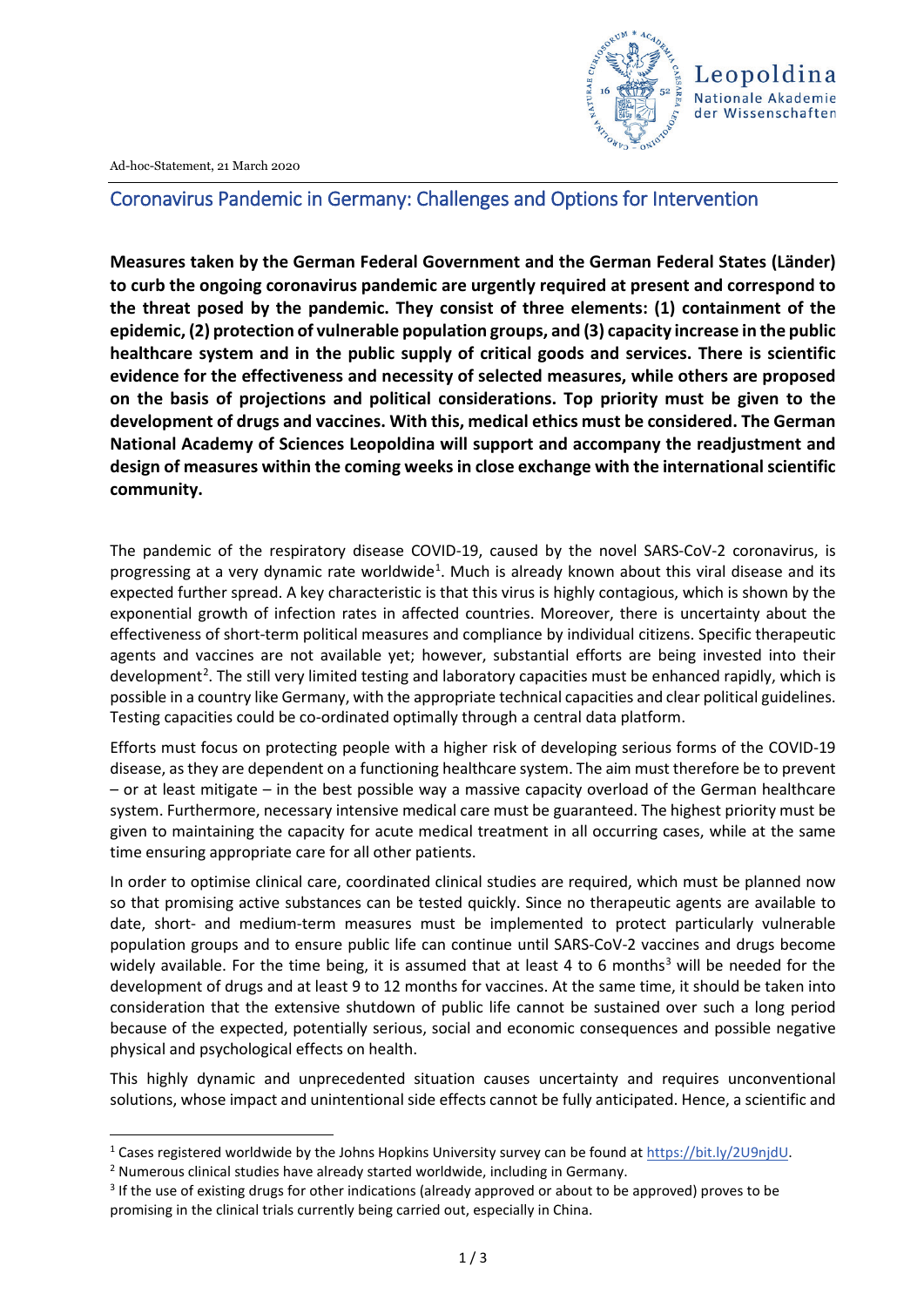



# Coronavirus Pandemic in Germany: Challenges and Options for Intervention

**Measures taken by the German Federal Government and the German Federal States (Länder) to curb the ongoing coronavirus pandemic are urgently required at present and correspond to the threat posed by the pandemic. They consist of three elements: (1) containment of the epidemic, (2) protection of vulnerable population groups, and (3) capacity increase in the public healthcare system and in the public supply of critical goods and services. There is scientific evidence for the effectiveness and necessity of selected measures, while others are proposed on the basis of projections and political considerations. Top priority must be given to the development of drugs and vaccines. With this, medical ethics must be considered. The German National Academy of Sciences Leopoldina will support and accompany the readjustment and design of measures within the coming weeks in close exchange with the international scientific community.**

The pandemic of the respiratory disease COVID-19, caused by the novel SARS-CoV-2 coronavirus, is progressing at a very dynamic rate worldwide<sup>[1](#page-0-0)</sup>. Much is already known about this viral disease and its expected further spread. A key characteristic is that this virus is highly contagious, which is shown by the exponential growth of infection rates in affected countries. Moreover, there is uncertainty about the effectiveness of short-term political measures and compliance by individual citizens. Specific therapeutic agents and vaccines are not available yet; however, substantial efforts are being invested into their development<sup>[2](#page-0-1)</sup>. The still very limited testing and laboratory capacities must be enhanced rapidly, which is possible in a country like Germany, with the appropriate technical capacities and clear political guidelines. Testing capacities could be co-ordinated optimally through a central data platform.

Efforts must focus on protecting people with a higher risk of developing serious forms of the COVID-19 disease, as they are dependent on a functioning healthcare system. The aim must therefore be to prevent – or at least mitigate – in the best possible way a massive capacity overload of the German healthcare system. Furthermore, necessary intensive medical care must be guaranteed. The highest priority must be given to maintaining the capacity for acute medical treatment in all occurring cases, while at the same time ensuring appropriate care for all other patients.

In order to optimise clinical care, coordinated clinical studies are required, which must be planned now so that promising active substances can be tested quickly. Since no therapeutic agents are available to date, short- and medium-term measures must be implemented to protect particularly vulnerable population groups and to ensure public life can continue until SARS-CoV-2 vaccines and drugs become widely available. For the time being, it is assumed that at least 4 to 6 months<sup>[3](#page-0-2)</sup> will be needed for the development of drugs and at least 9 to 12 months for vaccines. At the same time, it should be taken into consideration that the extensive shutdown of public life cannot be sustained over such a long period because of the expected, potentially serious, social and economic consequences and possible negative physical and psychological effects on health.

This highly dynamic and unprecedented situation causes uncertainty and requires unconventional solutions, whose impact and unintentional side effects cannot be fully anticipated. Hence, a scientific and

<span id="page-0-0"></span><sup>&</sup>lt;sup>1</sup> Cases registered worldwide by the Johns Hopkins University survey can be found a[t https://bit.ly/2U9njdU.](https://bit.ly/2U9njdU)<br><sup>2</sup> Numerous clinical studies have already started worldwide, including in Germany.

<span id="page-0-1"></span>

<span id="page-0-2"></span><sup>&</sup>lt;sup>3</sup> If the use of existing drugs for other indications (already approved or about to be approved) proves to be promising in the clinical trials currently being carried out, especially in China.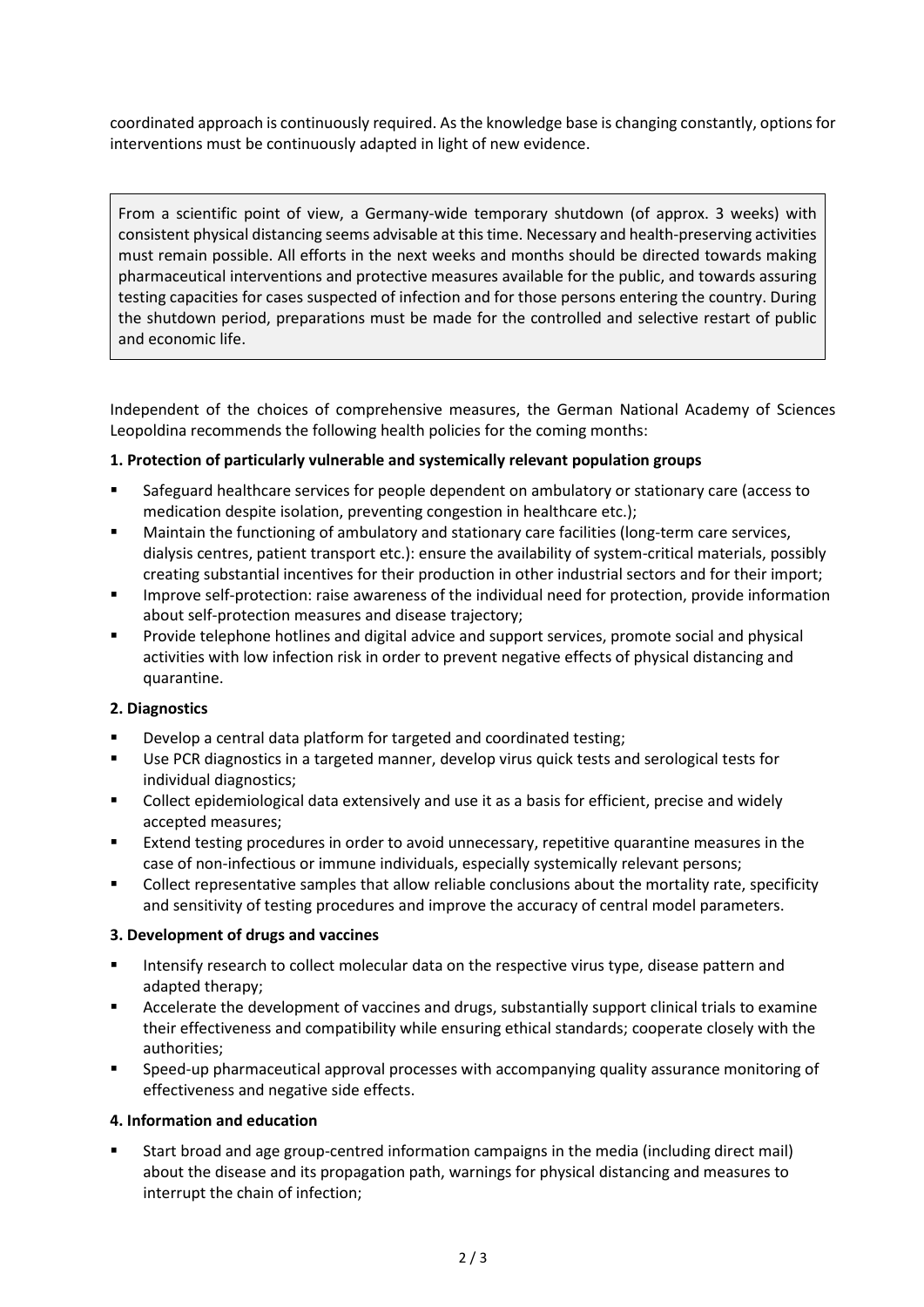coordinated approach is continuously required. As the knowledge base is changing constantly, options for interventions must be continuously adapted in light of new evidence.

From a scientific point of view, a Germany-wide temporary shutdown (of approx. 3 weeks) with consistent physical distancing seems advisable at this time. Necessary and health-preserving activities must remain possible. All efforts in the next weeks and months should be directed towards making pharmaceutical interventions and protective measures available for the public, and towards assuring testing capacities for cases suspected of infection and for those persons entering the country. During the shutdown period, preparations must be made for the controlled and selective restart of public and economic life.

Independent of the choices of comprehensive measures, the German National Academy of Sciences Leopoldina recommends the following health policies for the coming months:

## **1. Protection of particularly vulnerable and systemically relevant population groups**

- Safeguard healthcare services for people dependent on ambulatory or stationary care (access to medication despite isolation, preventing congestion in healthcare etc.);
- Maintain the functioning of ambulatory and stationary care facilities (long-term care services, dialysis centres, patient transport etc.): ensure the availability of system-critical materials, possibly creating substantial incentives for their production in other industrial sectors and for their import;
- **IMPROVE SEXT** Improve self-protection: raise awareness of the individual need for protection, provide information about self-protection measures and disease trajectory;
- Provide telephone hotlines and digital advice and support services, promote social and physical activities with low infection risk in order to prevent negative effects of physical distancing and quarantine.

#### **2. Diagnostics**

- **Develop a central data platform for targeted and coordinated testing;**
- Use PCR diagnostics in a targeted manner, develop virus quick tests and serological tests for individual diagnostics;
- Collect epidemiological data extensively and use it as a basis for efficient, precise and widely accepted measures;
- **Extend testing procedures in order to avoid unnecessary, repetitive quarantine measures in the** case of non-infectious or immune individuals, especially systemically relevant persons;
- Collect representative samples that allow reliable conclusions about the mortality rate, specificity and sensitivity of testing procedures and improve the accuracy of central model parameters.

#### **3. Development of drugs and vaccines**

- Intensify research to collect molecular data on the respective virus type, disease pattern and adapted therapy;
- Accelerate the development of vaccines and drugs, substantially support clinical trials to examine their effectiveness and compatibility while ensuring ethical standards; cooperate closely with the authorities;
- Speed-up pharmaceutical approval processes with accompanying quality assurance monitoring of effectiveness and negative side effects.

#### **4. Information and education**

 Start broad and age group-centred information campaigns in the media (including direct mail) about the disease and its propagation path, warnings for physical distancing and measures to interrupt the chain of infection;